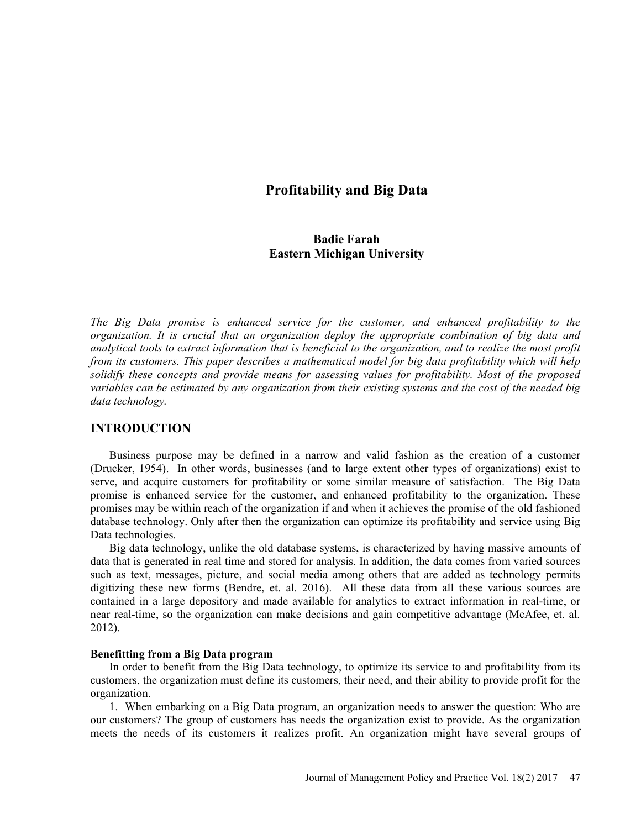# Profitability and Big Data

## Badie Farah Eastern Michigan University

The Big Data promise is enhanced service for the customer, and enhanced profitability to the organization. It is crucial that an organization deploy the appropriate combination of big data and analytical tools to extract information that is beneficial to the organization, and to realize the most profit from its customers. This paper describes a mathematical model for big data profitability which will help solidify these concepts and provide means for assessing values for profitability. Most of the proposed variables can be estimated by any organization from their existing systems and the cost of the needed big data technology.

## INTRODUCTION

Business purpose may be defined in a narrow and valid fashion as the creation of a customer (Drucker, 1954). In other words, businesses (and to large extent other types of organizations) exist to serve, and acquire customers for profitability or some similar measure of satisfaction. The Big Data promise is enhanced service for the customer, and enhanced profitability to the organization. These promises may be within reach of the organization if and when it achieves the promise of the old fashioned database technology. Only after then the organization can optimize its profitability and service using Big Data technologies.

Big data technology, unlike the old database systems, is characterized by having massive amounts of data that is generated in real time and stored for analysis. In addition, the data comes from varied sources such as text, messages, picture, and social media among others that are added as technology permits digitizing these new forms (Bendre, et. al. 2016). All these data from all these various sources are contained in a large depository and made available for analytics to extract information in real-time, or near real-time, so the organization can make decisions and gain competitive advantage (McAfee, et. al. 2012).

#### Benefitting from a Big Data program

In order to benefit from the Big Data technology, to optimize its service to and profitability from its customers, the organization must define its customers, their need, and their ability to provide profit for the organization.

1. When embarking on a Big Data program, an organization needs to answer the question: Who are our customers? The group of customers has needs the organization exist to provide. As the organization meets the needs of its customers it realizes profit. An organization might have several groups of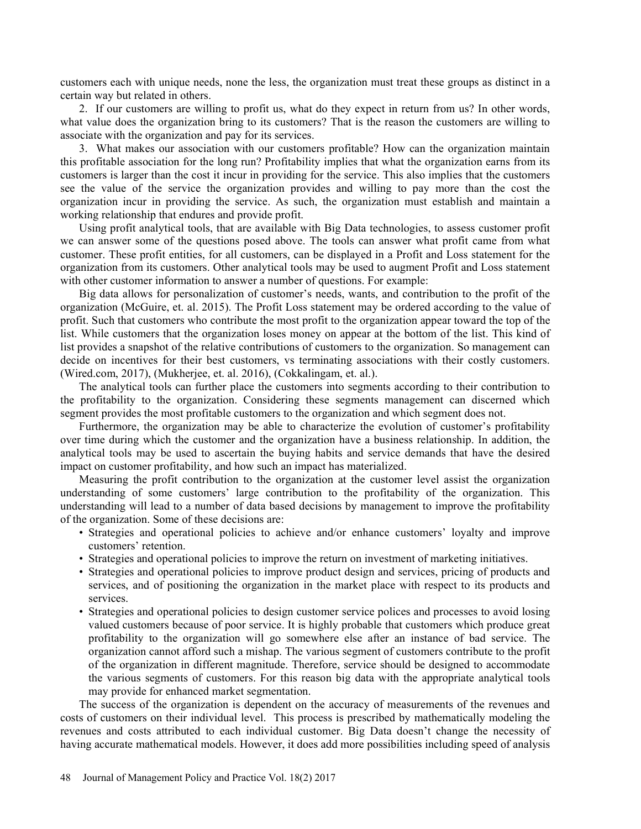customers each with unique needs, none the less, the organization must treat these groups as distinct in a certain way but related in others.

2. If our customers are willing to profit us, what do they expect in return from us? In other words, what value does the organization bring to its customers? That is the reason the customers are willing to associate with the organization and pay for its services.

3. What makes our association with our customers profitable? How can the organization maintain this profitable association for the long run? Profitability implies that what the organization earns from its customers is larger than the cost it incur in providing for the service. This also implies that the customers see the value of the service the organization provides and willing to pay more than the cost the organization incur in providing the service. As such, the organization must establish and maintain a working relationship that endures and provide profit.

Using profit analytical tools, that are available with Big Data technologies, to assess customer profit we can answer some of the questions posed above. The tools can answer what profit came from what customer. These profit entities, for all customers, can be displayed in a Profit and Loss statement for the organization from its customers. Other analytical tools may be used to augment Profit and Loss statement with other customer information to answer a number of questions. For example:

Big data allows for personalization of customer's needs, wants, and contribution to the profit of the organization (McGuire, et. al. 2015). The Profit Loss statement may be ordered according to the value of profit. Such that customers who contribute the most profit to the organization appear toward the top of the list. While customers that the organization loses money on appear at the bottom of the list. This kind of list provides a snapshot of the relative contributions of customers to the organization. So management can decide on incentives for their best customers, vs terminating associations with their costly customers. (Wired.com, 2017), (Mukherjee, et. al. 2016), (Cokkalingam, et. al.).

The analytical tools can further place the customers into segments according to their contribution to the profitability to the organization. Considering these segments management can discerned which segment provides the most profitable customers to the organization and which segment does not.

Furthermore, the organization may be able to characterize the evolution of customer's profitability over time during which the customer and the organization have a business relationship. In addition, the analytical tools may be used to ascertain the buying habits and service demands that have the desired impact on customer profitability, and how such an impact has materialized.

Measuring the profit contribution to the organization at the customer level assist the organization understanding of some customers' large contribution to the profitability of the organization. This understanding will lead to a number of data based decisions by management to improve the profitability of the organization. Some of these decisions are:

- Strategies and operational policies to achieve and/or enhance customers' loyalty and improve customers' retention.
- Strategies and operational policies to improve the return on investment of marketing initiatives.
- Strategies and operational policies to improve product design and services, pricing of products and services, and of positioning the organization in the market place with respect to its products and services.
- Strategies and operational policies to design customer service polices and processes to avoid losing valued customers because of poor service. It is highly probable that customers which produce great profitability to the organization will go somewhere else after an instance of bad service. The organization cannot afford such a mishap. The various segment of customers contribute to the profit of the organization in different magnitude. Therefore, service should be designed to accommodate the various segments of customers. For this reason big data with the appropriate analytical tools may provide for enhanced market segmentation.

The success of the organization is dependent on the accuracy of measurements of the revenues and costs of customers on their individual level. This process is prescribed by mathematically modeling the revenues and costs attributed to each individual customer. Big Data doesn't change the necessity of having accurate mathematical models. However, it does add more possibilities including speed of analysis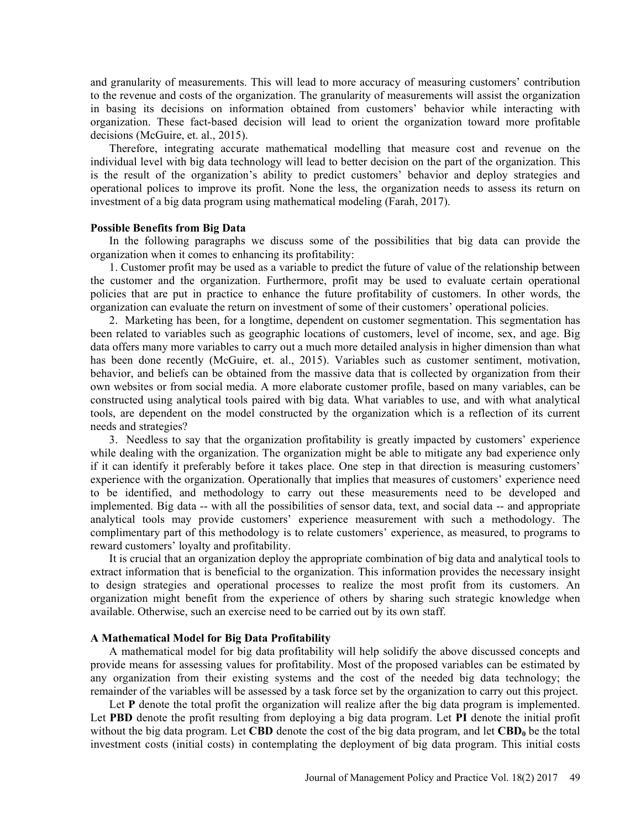and granularity of measurements. This will lead to more accuracy of measuring customers' contribution to the revenue and costs of the organization. The granularity of measurements will assist the organization in basing its decisions on information obtained from customers' behavior while interacting with organization. These fact-based decision will lead to orient the organization toward more profitable decisions (McGuire, et. al., 2015).

Therefore, integrating accurate mathematical modelling that measure cost and revenue on the individual level with big data technology will lead to better decision on the part of the organization. This is the result of the organization's ability to predict customers' behavior and deploy strategies and operational polices to improve its profit. None the less, the organization needs to assess its return on investment of a big data program using mathematical modeling (Farah, 2017).

## Possible Benefits from Big Data

In the following paragraphs we discuss some of the possibilities that big data can provide the organization when it comes to enhancing its profitability:

1. Customer profit may be used as a variable to predict the future of value of the relationship between the customer and the organization. Furthermore, profit may be used to evaluate certain operational policies that are put in practice to enhance the future profitability of customers. In other words, the organization can evaluate the return on investment of some of their customers' operational policies.

2. Marketing has been, for a longtime, dependent on customer segmentation. This segmentation has been related to variables such as geographic locations of customers, level of income, sex, and age. Big data offers many more variables to carry out a much more detailed analysis in higher dimension than what has been done recently (McGuire, et. al., 2015). Variables such as customer sentiment, motivation, behavior, and beliefs can be obtained from the massive data that is collected by organization from their own websites or from social media. A more elaborate customer profile, based on many variables, can be constructed using analytical tools paired with big data. What variables to use, and with what analytical tools, are dependent on the model constructed by the organization which is a reflection of its current needs and strategies?

3. Needless to say that the organization profitability is greatly impacted by customers' experience while dealing with the organization. The organization might be able to mitigate any bad experience only if it can identify it preferably before it takes place. One step in that direction is measuring customers experience with the organization. Operationally that implies that measures of customers' experience need to be identified, and methodology to carry out these measurements need to be developed and implemented. Big data -- with all the possibilities of sensor data, text, and social data -- and appropriate analytical tools may provide customers' experience measurement with such a methodology. The complimentary part of this methodology is to relate customers' experience, as measured, to programs to reward customers' loyalty and profitability.

It is crucial that an organization deploy the appropriate combination of big data and analytical tools to extract information that is beneficial to the organization. This information provides the necessary insight to design strategies and operational processes to realize the most profit from its customers. An organization might benefit from the experience of others by sharing such strategic knowledge when available. Otherwise, such an exercise need to be carried out by its own staff.

## A Mathematical Model for Big Data Profitability

A mathematical model for big data profitability will help solidify the above discussed concepts and provide means for assessing values for profitability. Most of the proposed variables can be estimated by any organization from their existing systems and the cost of the needed big data technology; the remainder of the variables will be assessed by a task force set by the organization to carry out this project.

Let **P** denote the total profit the organization will realize after the big data program is implemented. Let **PBD** denote the profit resulting from deploying a big data program. Let **PI** denote the initial profit without the big data program. Let CBD denote the cost of the big data program, and let  $\text{CBD}_0$  be the total investment costs (initial costs) in contemplating the deployment of big data program. This initial costs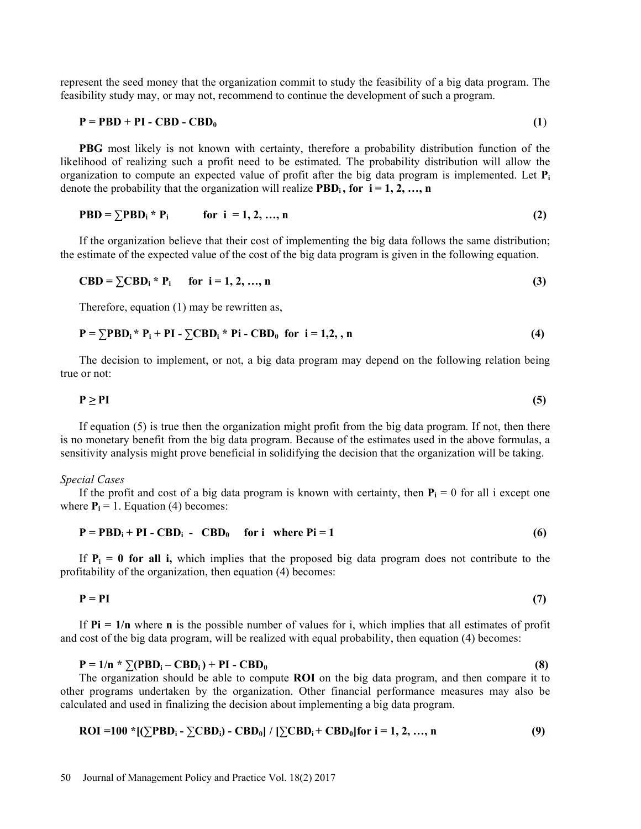represent the seed money that the organization commit to study the feasibility of a big data program. The feasibility study may, or may not, recommend to continue the development of such a program.

$$
P = PBD + PI - CBD - CBD_0 \tag{1}
$$

PBG most likely is not known with certainty, therefore a probability distribution function of the likelihood of realizing such a profit need to be estimated. The probability distribution will allow the organization to compute an expected value of profit after the big data program is implemented. Let  $P_i$ denote the probability that the organization will realize  $\text{PBD}_i$ , for  $i = 1, 2, ..., n$ 

$$
PBD = \sum PBD_i * P_i \qquad \text{for } i = 1, 2, ..., n
$$
 (2)

If the organization believe that their cost of implementing the big data follows the same distribution; the estimate of the expected value of the cost of the big data program is given in the following equation.

$$
CBD = \sum CBD_i * P_i \quad \text{for } i = 1, 2, ..., n
$$
 (3)

Therefore, equation (1) may be rewritten as,

$$
\mathbf{P} = \sum \mathbf{PBD}_i \cdot \mathbf{P}_i + \mathbf{PI} - \sum \mathbf{CBD}_i \cdot \mathbf{P} \mathbf{i} - \mathbf{CBD}_0 \quad \text{for } i = 1, 2, n
$$
 (4)

The decision to implement, or not, a big data program may depend on the following relation being true or not:

$$
P \geq PI \tag{5}
$$

If equation (5) is true then the organization might profit from the big data program. If not, then there is no monetary benefit from the big data program. Because of the estimates used in the above formulas, a sensitivity analysis might prove beneficial in solidifying the decision that the organization will be taking.

#### Special Cases

If the profit and cost of a big data program is known with certainty, then  $P_i = 0$  for all i except one where  $P_i = 1$ . Equation (4) becomes:

$$
P = PBDi + PI - CBDi - CBD0 for i where Pi = 1
$$
 (6)

If  $P_i = 0$  for all i, which implies that the proposed big data program does not contribute to the profitability of the organization, then equation (4) becomes:

$$
P = PI \tag{7}
$$

If  $Pi = 1/n$  where **n** is the possible number of values for i, which implies that all estimates of profit and cost of the big data program, will be realized with equal probability, then equation (4) becomes:

## $P = 1/n * \sum (PBD_i - CBD_i) + PI - CBD_0$  (8)

The organization should be able to compute ROI on the big data program, and then compare it to other programs undertaken by the organization. Other financial performance measures may also be calculated and used in finalizing the decision about implementing a big data program.

$$
ROI = 100 * [(\Sigma PBD_i - \Sigma CBD_i) - CBD_0] / [\Sigma CBD_i + CBD_0] for i = 1, 2, ..., n
$$
 (9)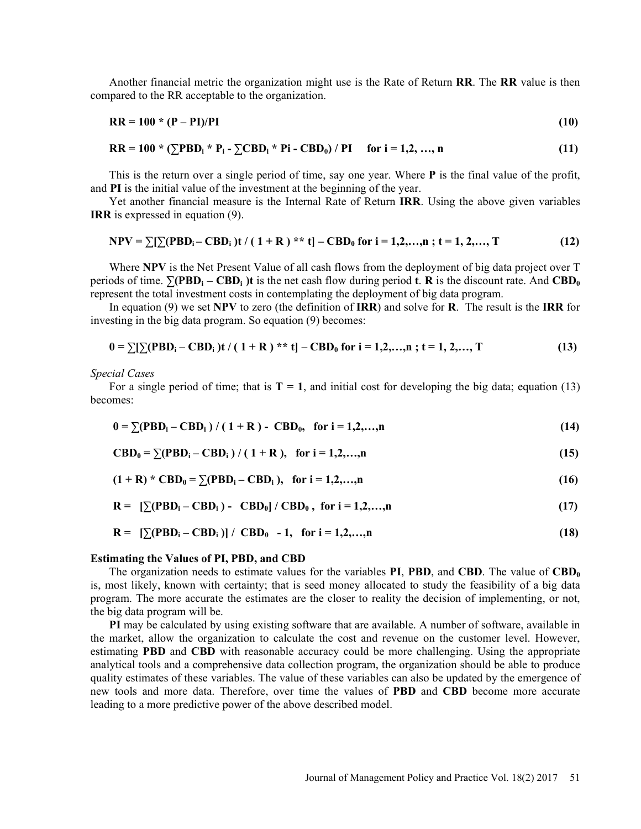Another financial metric the organization might use is the Rate of Return RR. The RR value is then compared to the RR acceptable to the organization.

$$
RR = 100 \times (P - PI)/PI \tag{10}
$$

$$
RR = 100 * (\sum PBD_i * P_i - \sum CBD_i * Pi - CBD_0) / PI \quad \text{for } i = 1, 2, ..., n
$$
 (11)

This is the return over a single period of time, say one year. Where P is the final value of the profit, and PI is the initial value of the investment at the beginning of the year.

Yet another financial measure is the Internal Rate of Return IRR. Using the above given variables IRR is expressed in equation (9).

$$
NPV = \sum [\sum (PBD_i - CBD_i)t / (1 + R)^{**} t] - CBD_0 \text{ for } i = 1, 2, ..., n; t = 1, 2, ..., T
$$
 (12)

Where NPV is the Net Present Value of all cash flows from the deployment of big data project over T periods of time.  $\sum (PBD_i - CBD_i)$ t is the net cash flow during period t. R is the discount rate. And  $CBD_0$ represent the total investment costs in contemplating the deployment of big data program.

In equation (9) we set NPV to zero (the definition of  $\bf IRR$ ) and solve for  $\bf R$ . The result is the IRR for investing in the big data program. So equation (9) becomes:

$$
0 = \sum [\sum (PBD_i - CBD_i) t / (1 + R)^{**} t] - CBD_0 \text{ for } i = 1, 2, ..., n; t = 1, 2, ..., T
$$
 (13)

Special Cases

For a single period of time; that is  $T = 1$ , and initial cost for developing the big data; equation (13) becomes:

$$
0 = \sum (PBD_i - CBD_i) / (1 + R) - CBD_0, \text{ for } i = 1, 2, ..., n
$$
 (14)

$$
CBD_0 = \sum (PBD_i - CBD_i) / (1 + R), \text{ for } i = 1, 2, ..., n
$$
 (15)

$$
(1 + R) * CBD0 = \sum (PBDi - CBDi), for i = 1,2,...,n
$$
 (16)

$$
\mathbf{R} = \left[ \sum (\mathbf{PBD}_i - \mathbf{CBD}_i) - \mathbf{CBD}_0 \right] / \mathbf{CBD}_0, \text{ for } i = 1, 2, ..., n \tag{17}
$$

$$
\mathbf{R} = \left[ \sum (\mathbf{PBD}_i - \mathbf{CBD}_i) \right] / \mathbf{CBD}_0 - 1, \text{ for } i = 1, 2, \dots, n \tag{18}
$$

## Estimating the Values of PI, PBD, and CBD

The organization needs to estimate values for the variables **PI, PBD**, and **CBD**. The value of  $\mathbf{CBD}_0$ is, most likely, known with certainty; that is seed money allocated to study the feasibility of a big data program. The more accurate the estimates are the closer to reality the decision of implementing, or not, the big data program will be.

PI may be calculated by using existing software that are available. A number of software, available in the market, allow the organization to calculate the cost and revenue on the customer level. However, estimating PBD and CBD with reasonable accuracy could be more challenging. Using the appropriate analytical tools and a comprehensive data collection program, the organization should be able to produce quality estimates of these variables. The value of these variables can also be updated by the emergence of new tools and more data. Therefore, over time the values of PBD and CBD become more accurate leading to a more predictive power of the above described model.